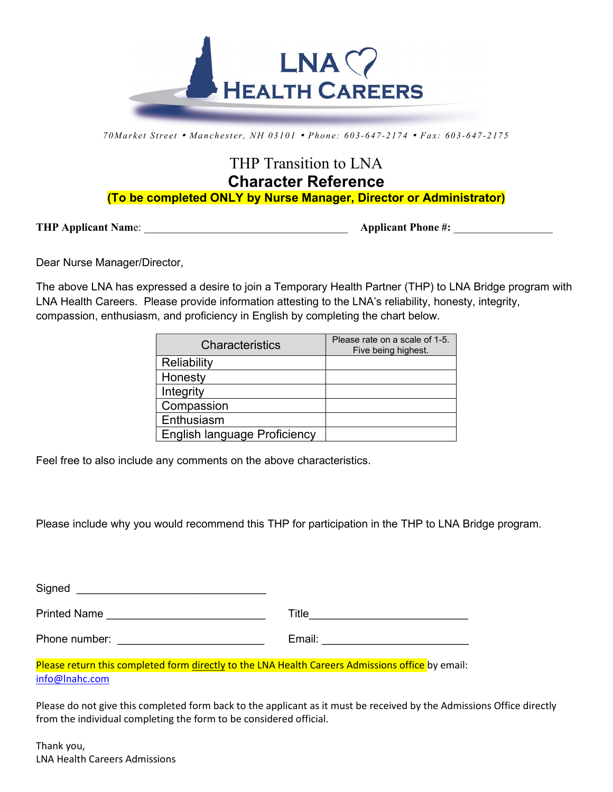

*70Ma rk et Street M a nchester, NH 03101 Phone: 603 -647 -2174 Fax: 603 -647 -2175*

## THP Transition to LNA **Character Reference (To be completed ONLY by Nurse Manager, Director or Administrator)**

**THP Applicant Nam**e: \_\_\_\_\_\_\_\_\_\_\_\_\_\_\_\_\_\_\_\_\_\_\_\_\_\_\_\_\_\_\_\_\_\_\_\_\_ **Applicant Phone #:** \_\_\_\_\_\_\_\_\_\_\_\_\_\_\_\_\_\_

Dear Nurse Manager/Director,

The above LNA has expressed a desire to join a Temporary Health Partner (THP) to LNA Bridge program with LNA Health Careers. Please provide information attesting to the LNA's reliability, honesty, integrity, compassion, enthusiasm, and proficiency in English by completing the chart below.

| Characteristics                     | Please rate on a scale of 1-5.<br>Five being highest. |
|-------------------------------------|-------------------------------------------------------|
| Reliability                         |                                                       |
| Honesty                             |                                                       |
| Integrity                           |                                                       |
| Compassion                          |                                                       |
| Enthusiasm                          |                                                       |
| <b>English language Proficiency</b> |                                                       |

Feel free to also include any comments on the above characteristics.

Please include why you would recommend this THP for participation in the THP to LNA Bridge program.

| Signed              |        |
|---------------------|--------|
| <b>Printed Name</b> | Title  |
| Phone number:       | Email: |

Please return this completed form directly to the LNA Health Careers Admissions office by email: [info@lnahc.com](mailto:info@lnahc.com)

Please do not give this completed form back to the applicant as it must be received by the Admissions Office directly from the individual completing the form to be considered official.

Thank you, LNA Health Careers Admissions